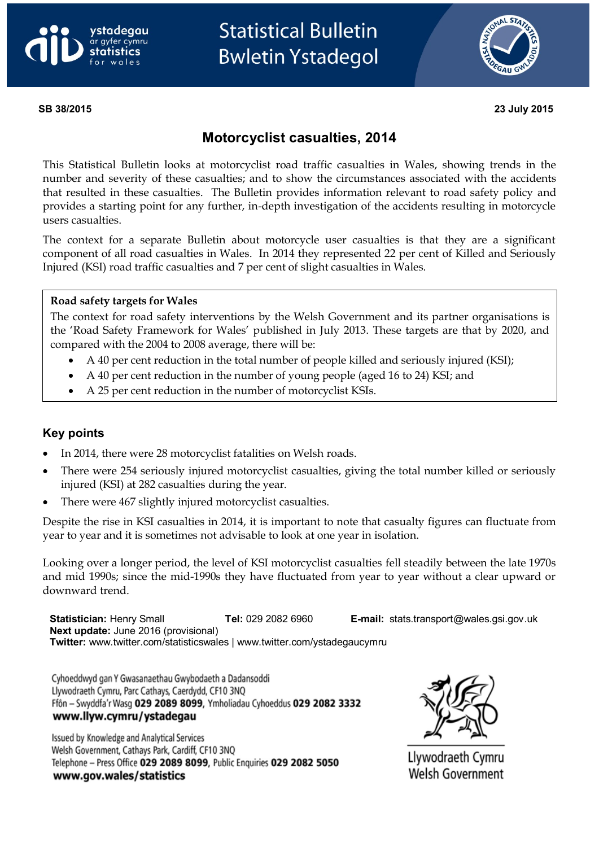



**SB 38/2015 23 July 2015**

# **Motorcyclist casualties, 2014**

This Statistical Bulletin looks at motorcyclist road traffic casualties in Wales, showing trends in the number and severity of these casualties; and to show the circumstances associated with the accidents that resulted in these casualties. The Bulletin provides information relevant to road safety policy and provides a starting point for any further, in-depth investigation of the accidents resulting in motorcycle users casualties.

The context for a separate Bulletin about motorcycle user casualties is that they are a significant component of all road casualties in Wales. In 2014 they represented 22 per cent of Killed and Seriously Injured (KSI) road traffic casualties and 7 per cent of slight casualties in Wales.

#### **Road safety targets for Wales**

The context for road safety interventions by the Welsh Government and its partner organisations is the 'Road Safety Framework for Wales' published in July 2013. These targets are that by 2020, and compared with the 2004 to 2008 average, there will be:

- A 40 per cent reduction in the total number of people killed and seriously injured (KSI);
- A 40 per cent reduction in the number of young people (aged 16 to 24) KSI; and
- A 25 per cent reduction in the number of motorcyclist KSIs.

## **Key points**

- In 2014, there were 28 motorcyclist fatalities on Welsh roads.
- There were 254 seriously injured motorcyclist casualties, giving the total number killed or seriously injured (KSI) at 282 casualties during the year.
- There were 467 slightly injured motorcyclist casualties.

Despite the rise in KSI casualties in 2014, it is important to note that casualty figures can fluctuate from year to year and it is sometimes not advisable to look at one year in isolation.

Looking over a longer period, the level of KSI motorcyclist casualties fell steadily between the late 1970s and mid 1990s; since the mid-1990s they have fluctuated from year to year without a clear upward or downward trend.

**Statistician:** Henry Small **Tel:** 029 2082 6960 **E-mail:** [stats.transport@wales.gsi.gov.uk](mailto:stats.transport@wales.gsi.gov.uk) **Next update:** June 2016 (provisional) **Twitter:** www.twitter.com/statisticswales | www.twitter.com/ystadegaucymru

Cyhoeddwyd gan Y Gwasanaethau Gwybodaeth a Dadansoddi Llywodraeth Cymru, Parc Cathays, Caerdydd, CF10 3NQ Ffôn - Swyddfa'r Wasg 029 2089 8099, Ymholiadau Cyhoeddus 029 2082 3332 www.llyw.cymru/ystadegau

Issued by Knowledge and Analytical Services Welsh Government, Cathays Park, Cardiff, CF10 3NQ Telephone - Press Office 029 2089 8099, Public Enquiries 029 2082 5050 www.gov.wales/statistics



Llywodraeth Cymru **Welsh Government**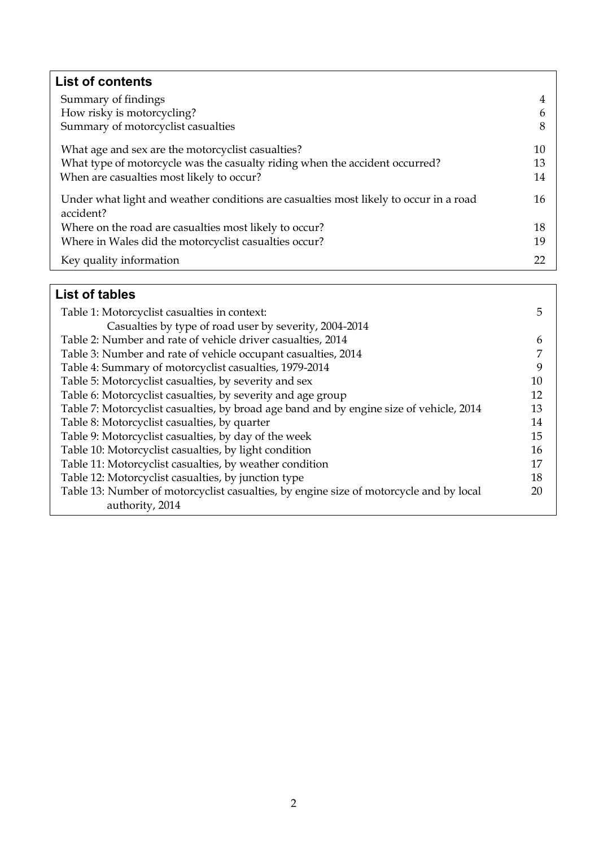| <b>List of contents</b>                                                                            |    |
|----------------------------------------------------------------------------------------------------|----|
| Summary of findings                                                                                | 4  |
| How risky is motorcycling?                                                                         | 6  |
| Summary of motorcyclist casualties                                                                 | 8  |
| What age and sex are the motorcyclist casualties?                                                  | 10 |
| What type of motorcycle was the casualty riding when the accident occurred?                        | 13 |
| When are casualties most likely to occur?                                                          | 14 |
| Under what light and weather conditions are casualties most likely to occur in a road<br>accident? | 16 |
| Where on the road are casualties most likely to occur?                                             | 18 |
| Where in Wales did the motorcyclist casualties occur?                                              | 19 |
| Key quality information                                                                            | 22 |

# **List of tables**

| Table 1: Motorcyclist casualties in context:                                                              | 5  |
|-----------------------------------------------------------------------------------------------------------|----|
| Casualties by type of road user by severity, 2004-2014                                                    |    |
| Table 2: Number and rate of vehicle driver casualties, 2014                                               | 6  |
| Table 3: Number and rate of vehicle occupant casualties, 2014                                             | 7  |
| Table 4: Summary of motorcyclist casualties, 1979-2014                                                    | 9  |
| Table 5: Motorcyclist casualties, by severity and sex                                                     | 10 |
| Table 6: Motorcyclist casualties, by severity and age group                                               | 12 |
| Table 7: Motorcyclist casualties, by broad age band and by engine size of vehicle, 2014                   | 13 |
| Table 8: Motorcyclist casualties, by quarter                                                              | 14 |
| Table 9: Motorcyclist casualties, by day of the week                                                      | 15 |
| Table 10: Motorcyclist casualties, by light condition                                                     | 16 |
| Table 11: Motorcyclist casualties, by weather condition                                                   | 17 |
| Table 12: Motorcyclist casualties, by junction type                                                       | 18 |
| Table 13: Number of motorcyclist casualties, by engine size of motorcycle and by local<br>authority, 2014 | 20 |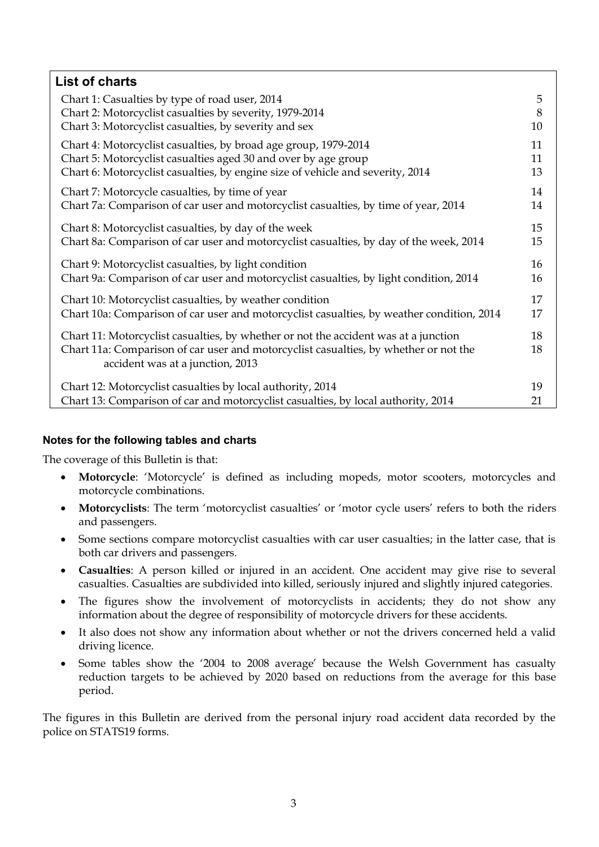| <b>List of charts</b>                                                                                                                                                                                           |          |
|-----------------------------------------------------------------------------------------------------------------------------------------------------------------------------------------------------------------|----------|
| Chart 1: Casualties by type of road user, 2014                                                                                                                                                                  | 5        |
| Chart 2: Motorcyclist casualties by severity, 1979-2014                                                                                                                                                         | 8        |
| Chart 3: Motorcyclist casualties, by severity and sex                                                                                                                                                           | 10       |
| Chart 4: Motorcyclist casualties, by broad age group, 1979-2014                                                                                                                                                 | 11       |
| Chart 5: Motorcyclist casualties aged 30 and over by age group                                                                                                                                                  | 11       |
| Chart 6: Motorcyclist casualties, by engine size of vehicle and severity, 2014                                                                                                                                  | 13       |
| Chart 7: Motorcycle casualties, by time of year                                                                                                                                                                 | 14       |
| Chart 7a: Comparison of car user and motorcyclist casualties, by time of year, 2014                                                                                                                             | 14       |
| Chart 8: Motorcyclist casualties, by day of the week                                                                                                                                                            | 15       |
| Chart 8a: Comparison of car user and motorcyclist casualties, by day of the week, 2014                                                                                                                          | 15       |
| Chart 9: Motorcyclist casualties, by light condition                                                                                                                                                            | 16       |
| Chart 9a: Comparison of car user and motorcyclist casualties, by light condition, 2014                                                                                                                          | 16       |
| Chart 10: Motorcyclist casualties, by weather condition                                                                                                                                                         | 17       |
| Chart 10a: Comparison of car user and motorcyclist casualties, by weather condition, 2014                                                                                                                       | 17       |
| Chart 11: Motorcyclist casualties, by whether or not the accident was at a junction<br>Chart 11a: Comparison of car user and motorcyclist casualties, by whether or not the<br>accident was at a junction, 2013 | 18<br>18 |
| Chart 12: Motorcyclist casualties by local authority, 2014                                                                                                                                                      | 19       |
| Chart 13: Comparison of car and motorcyclist casualties, by local authority, 2014                                                                                                                               | 21       |
|                                                                                                                                                                                                                 |          |

## **Notes for the following tables and charts**

The coverage of this Bulletin is that:

- **Motorcycle**: 'Motorcycle' is defined as including mopeds, motor scooters, motorcycles and motorcycle combinations.
- **Motorcyclists**: The term 'motorcyclist casualties' or 'motor cycle users' refers to both the riders and passengers.
- Some sections compare motorcyclist casualties with car user casualties; in the latter case, that is both car drivers and passengers.
- **Casualties**: A person killed or injured in an accident. One accident may give rise to several casualties. Casualties are subdivided into killed, seriously injured and slightly injured categories.
- The figures show the involvement of motorcyclists in accidents; they do not show any information about the degree of responsibility of motorcycle drivers for these accidents.
- It also does not show any information about whether or not the drivers concerned held a valid driving licence.
- Some tables show the '2004 to 2008 average' because the Welsh Government has casualty reduction targets to be achieved by 2020 based on reductions from the average for this base period.

The figures in this Bulletin are derived from the personal injury road accident data recorded by the police on STATS19 forms.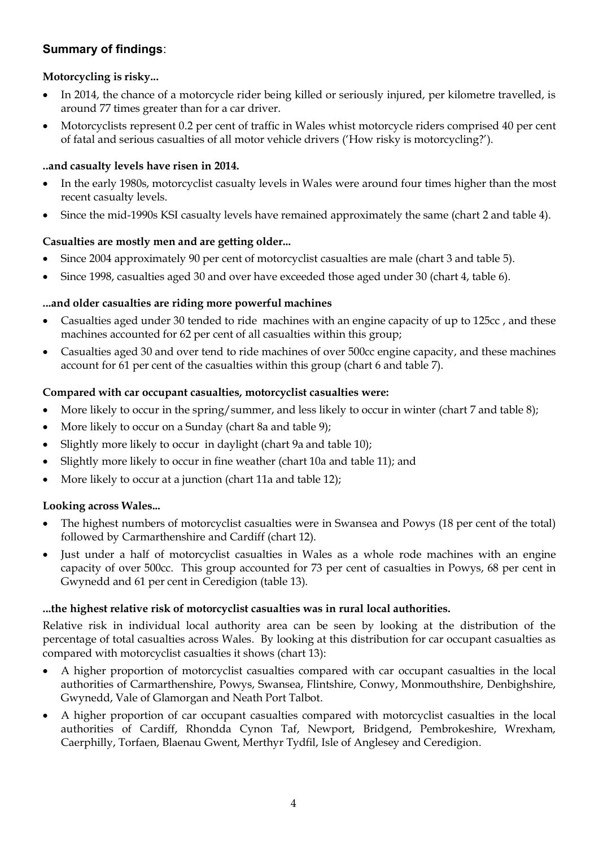# **Summary of findings**:

## **Motorcycling is risky...**

- In 2014, the chance of a motorcycle rider being killed or seriously injured, per kilometre travelled, is around 77 times greater than for a car driver.
- Motorcyclists represent 0.2 per cent of traffic in Wales whist motorcycle riders comprised 40 per cent of fatal and serious casualties of all motor vehicle drivers ('How risky is motorcycling?').

### **..and casualty levels have risen in 2014.**

- In the early 1980s, motorcyclist casualty levels in Wales were around four times higher than the most recent casualty levels.
- Since the mid-1990s KSI casualty levels have remained approximately the same (chart 2 and table 4).

### **Casualties are mostly men and are getting older...**

- Since 2004 approximately 90 per cent of motorcyclist casualties are male (chart 3 and table 5).
- Since 1998, casualties aged 30 and over have exceeded those aged under 30 (chart 4, table 6).

### **...and older casualties are riding more powerful machines**

- Casualties aged under 30 tended to ride machines with an engine capacity of up to 125cc, and these machines accounted for 62 per cent of all casualties within this group;
- Casualties aged 30 and over tend to ride machines of over 500cc engine capacity, and these machines account for 61 per cent of the casualties within this group (chart 6 and table 7).

### **Compared with car occupant casualties, motorcyclist casualties were:**

- More likely to occur in the spring/summer, and less likely to occur in winter (chart 7 and table 8);
- More likely to occur on a Sunday (chart 8a and table 9);
- Slightly more likely to occur in daylight (chart 9a and table 10);
- Slightly more likely to occur in fine weather (chart 10a and table 11); and
- More likely to occur at a junction (chart 11a and table 12);

#### **Looking across Wales...**

- The highest numbers of motorcyclist casualties were in Swansea and Powys (18 per cent of the total) followed by Carmarthenshire and Cardiff (chart 12).
- Just under a half of motorcyclist casualties in Wales as a whole rode machines with an engine capacity of over 500cc. This group accounted for 73 per cent of casualties in Powys, 68 per cent in Gwynedd and 61 per cent in Ceredigion (table 13).

#### **...the highest relative risk of motorcyclist casualties was in rural local authorities.**

Relative risk in individual local authority area can be seen by looking at the distribution of the percentage of total casualties across Wales. By looking at this distribution for car occupant casualties as compared with motorcyclist casualties it shows (chart 13):

- A higher proportion of motorcyclist casualties compared with car occupant casualties in the local authorities of Carmarthenshire, Powys, Swansea, Flintshire, Conwy, Monmouthshire, Denbighshire, Gwynedd, Vale of Glamorgan and Neath Port Talbot.
- A higher proportion of car occupant casualties compared with motorcyclist casualties in the local authorities of Cardiff, Rhondda Cynon Taf, Newport, Bridgend, Pembrokeshire, Wrexham, Caerphilly, Torfaen, Blaenau Gwent, Merthyr Tydfil, Isle of Anglesey and Ceredigion.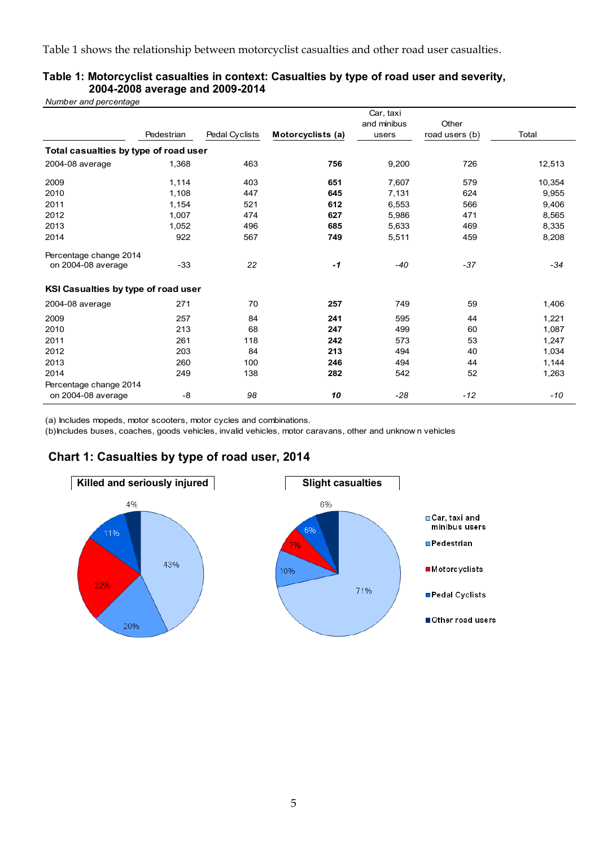Table 1 shows the relationship between motorcyclist casualties and other road user casualties.

| Number and percentage                 |            |                |                   |                                   |                         |        |
|---------------------------------------|------------|----------------|-------------------|-----------------------------------|-------------------------|--------|
|                                       | Pedestrian | Pedal Cyclists | Motorcyclists (a) | Car, taxi<br>and minibus<br>users | Other<br>road users (b) | Total  |
| Total casualties by type of road user |            |                |                   |                                   |                         |        |
| 2004-08 average                       | 1,368      | 463            | 756               | 9,200                             | 726                     | 12,513 |
| 2009                                  | 1,114      | 403            | 651               | 7,607                             | 579                     | 10,354 |
| 2010                                  | 1,108      | 447            | 645               | 7,131                             | 624                     | 9,955  |
| 2011                                  | 1,154      | 521            | 612               | 6,553                             | 566                     | 9,406  |
| 2012                                  | 1,007      | 474            | 627               | 5,986                             | 471                     | 8,565  |
| 2013                                  | 1,052      | 496            | 685               | 5,633                             | 469                     | 8,335  |
| 2014                                  | 922        | 567            | 749               | 5,511                             | 459                     | 8,208  |
| Percentage change 2014                |            |                |                   |                                   |                         |        |
| on 2004-08 average                    | $-33$      | 22             | $-1$              | $-40$                             | $-37$                   | $-34$  |
| KSI Casualties by type of road user   |            |                |                   |                                   |                         |        |
| 2004-08 average                       | 271        | 70             | 257               | 749                               | 59                      | 1,406  |
| 2009                                  | 257        | 84             | 241               | 595                               | 44                      | 1,221  |
| 2010                                  | 213        | 68             | 247               | 499                               | 60                      | 1,087  |
| 2011                                  | 261        | 118            | 242               | 573                               | 53                      | 1,247  |
| 2012                                  | 203        | 84             | 213               | 494                               | 40                      | 1,034  |
| 2013                                  | 260        | 100            | 246               | 494                               | 44                      | 1,144  |
| 2014                                  | 249        | 138            | 282               | 542                               | 52                      | 1,263  |
| Percentage change 2014                |            |                |                   |                                   |                         |        |
| on 2004-08 average                    | -8         | 98             | 10                | $-28$                             | $-12$                   | $-10$  |

#### **Table 1: Motorcyclist casualties in context: Casualties by type of road user and severity, 2004-2008 average and 2009-2014**

(a) Includes mopeds, motor scooters, motor cycles and combinations.

(b)Includes buses, coaches, goods vehicles, invalid vehicles, motor caravans, other and unknow n vehicles

# **Chart 1: Casualties by type of road user, 2014**

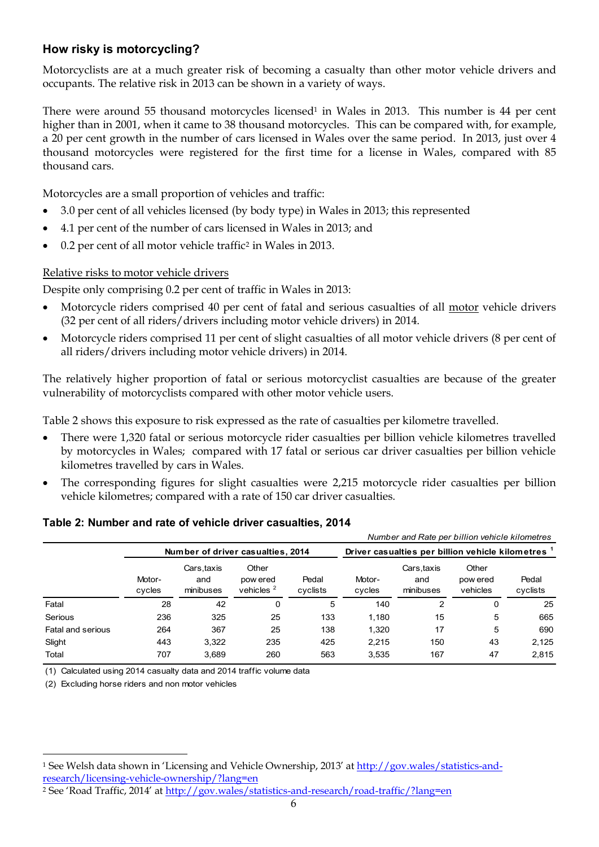# **How risky is motorcycling?**

Motorcyclists are at a much greater risk of becoming a casualty than other motor vehicle drivers and occupants. The relative risk in 2013 can be shown in a variety of ways.

There were around 55 thousand motorcycles licensed<sup>1</sup> in Wales in 2013. This number is 44 per cent higher than in 2001, when it came to 38 thousand motorcycles. This can be compared with, for example, a 20 per cent growth in the number of cars licensed in Wales over the same period. In 2013, just over 4 thousand motorcycles were registered for the first time for a license in Wales, compared with 85 thousand cars.

Motorcycles are a small proportion of vehicles and traffic:

- 3.0 per cent of all vehicles licensed (by body type) in Wales in 2013; this represented
- 4.1 per cent of the number of cars licensed in Wales in 2013; and
- 0.2 per cent of all motor vehicle traffic<sup>2</sup> in Wales in 2013.

### Relative risks to motor vehicle drivers

Despite only comprising 0.2 per cent of traffic in Wales in 2013:

- Motorcycle riders comprised 40 per cent of fatal and serious casualties of all motor vehicle drivers (32 per cent of all riders/drivers including motor vehicle drivers) in 2014.
- Motorcycle riders comprised 11 per cent of slight casualties of all motor vehicle drivers (8 per cent of all riders/drivers including motor vehicle drivers) in 2014.

The relatively higher proportion of fatal or serious motorcyclist casualties are because of the greater vulnerability of motorcyclists compared with other motor vehicle users.

Table 2 shows this exposure to risk expressed as the rate of casualties per kilometre travelled.

- There were 1,320 fatal or serious motorcycle rider casualties per billion vehicle kilometres travelled by motorcycles in Wales; compared with 17 fatal or serious car driver casualties per billion vehicle kilometres travelled by cars in Wales.
- The corresponding figures for slight casualties were 2,215 motorcycle rider casualties per billion vehicle kilometres; compared with a rate of 150 car driver casualties.

|                   |                  |                                |                                   |                   |                  | Number and Rate per billion vehicle kilometres     |                               |                   |
|-------------------|------------------|--------------------------------|-----------------------------------|-------------------|------------------|----------------------------------------------------|-------------------------------|-------------------|
|                   |                  |                                | Number of driver casualties, 2014 |                   |                  | Driver casualties per billion vehicle kilometres 1 |                               |                   |
|                   | Motor-<br>cycles | Cars.taxis<br>and<br>minibuses | Other<br>pow ered<br>vehicles $2$ | Pedal<br>cyclists | Motor-<br>cycles | Cars.taxis<br>and<br>minibuses                     | Other<br>pow ered<br>vehicles | Pedal<br>cyclists |
| Fatal             | 28               | 42                             | 0                                 | 5                 | 140              | 2                                                  | 0                             | 25                |
| Serious           | 236              | 325                            | 25                                | 133               | 1,180            | 15                                                 | 5                             | 665               |
| Fatal and serious | 264              | 367                            | 25                                | 138               | 1,320            | 17                                                 | 5                             | 690               |
| Slight            | 443              | 3,322                          | 235                               | 425               | 2,215            | 150                                                | 43                            | 2,125             |
| Total             | 707              | 3,689                          | 260                               | 563               | 3,535            | 167                                                | 47                            | 2,815             |

## **Table 2: Number and rate of vehicle driver casualties, 2014**

(1) Calculated using 2014 casualty data and 2014 traffic volume data

(2) Excluding horse riders and non motor vehicles

 $\ddot{\phantom{a}}$ 

<sup>1</sup> See Welsh data shown in 'Licensing and Vehicle Ownership, 2013' at [http://gov.wales/statistics-and](http://gov.wales/statistics-and-research/licensing-vehicle-ownership/?lang=en)[research/licensing-vehicle-ownership/?lang=en](http://gov.wales/statistics-and-research/licensing-vehicle-ownership/?lang=en)

<sup>2</sup> See 'Road Traffic, 2014' at <http://gov.wales/statistics-and-research/road-traffic/?lang=en>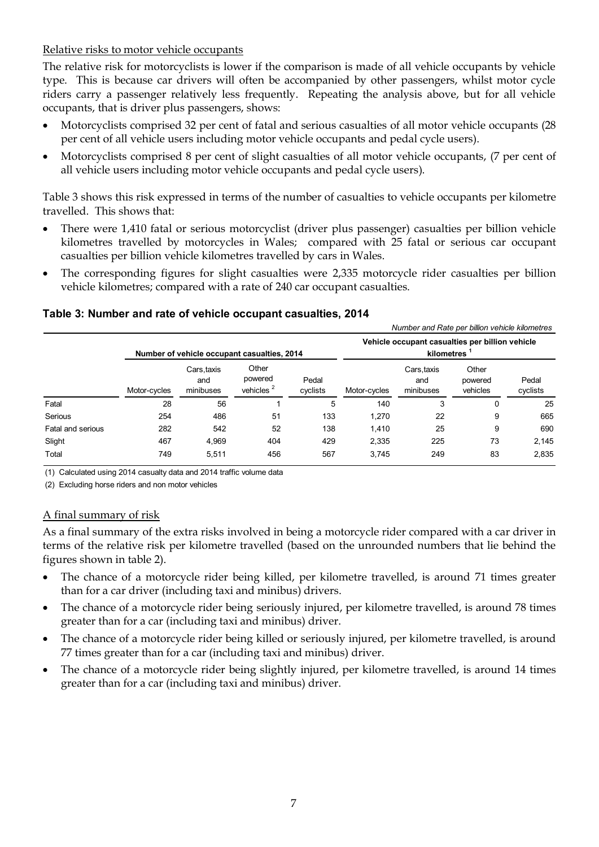Relative risks to motor vehicle occupants

The relative risk for motorcyclists is lower if the comparison is made of all vehicle occupants by vehicle type. This is because car drivers will often be accompanied by other passengers, whilst motor cycle riders carry a passenger relatively less frequently. Repeating the analysis above, but for all vehicle occupants, that is driver plus passengers, shows:

- Motorcyclists comprised 32 per cent of fatal and serious casualties of all motor vehicle occupants (28 per cent of all vehicle users including motor vehicle occupants and pedal cycle users).
- Motorcyclists comprised 8 per cent of slight casualties of all motor vehicle occupants, (7 per cent of all vehicle users including motor vehicle occupants and pedal cycle users).

Table 3 shows this risk expressed in terms of the number of casualties to vehicle occupants per kilometre travelled. This shows that:

- There were 1,410 fatal or serious motorcyclist (driver plus passenger) casualties per billion vehicle kilometres travelled by motorcycles in Wales; compared with 25 fatal or serious car occupant casualties per billion vehicle kilometres travelled by cars in Wales.
- The corresponding figures for slight casualties were 2,335 motorcycle rider casualties per billion vehicle kilometres; compared with a rate of 240 car occupant casualties.

#### **Table 3: Number and rate of vehicle occupant casualties, 2014**

|                   |              |                                |                                             |                   |                                                                            | Number and Rate per billion vehicle kilometres |                              |                   |
|-------------------|--------------|--------------------------------|---------------------------------------------|-------------------|----------------------------------------------------------------------------|------------------------------------------------|------------------------------|-------------------|
|                   |              |                                | Number of vehicle occupant casualties, 2014 |                   | Vehicle occupant casualties per billion vehicle<br>kilometres <sup>1</sup> |                                                |                              |                   |
|                   | Motor-cycles | Cars.taxis<br>and<br>minibuses | Other<br>powered<br>vehicles <sup>2</sup>   | Pedal<br>cyclists | Motor-cycles                                                               | Cars.taxis<br>and<br>minibuses                 | Other<br>powered<br>vehicles | Pedal<br>cyclists |
| Fatal             | 28           | 56                             |                                             | 5                 | 140                                                                        | 3                                              | 0                            | 25                |
| Serious           | 254          | 486                            | 51                                          | 133               | 1,270                                                                      | 22                                             | 9                            | 665               |
| Fatal and serious | 282          | 542                            | 52                                          | 138               | 1.410                                                                      | 25                                             | 9                            | 690               |
| Slight            | 467          | 4.969                          | 404                                         | 429               | 2,335                                                                      | 225                                            | 73                           | 2,145             |
| Total             | 749          | 5,511                          | 456                                         | 567               | 3.745                                                                      | 249                                            | 83                           | 2,835             |

(1) Calculated using 2014 casualty data and 2014 traffic volume data

(2) Excluding horse riders and non motor vehicles

#### A final summary of risk

As a final summary of the extra risks involved in being a motorcycle rider compared with a car driver in terms of the relative risk per kilometre travelled (based on the unrounded numbers that lie behind the figures shown in table 2).

- The chance of a motorcycle rider being killed, per kilometre travelled, is around 71 times greater than for a car driver (including taxi and minibus) drivers.
- The chance of a motorcycle rider being seriously injured, per kilometre travelled, is around 78 times greater than for a car (including taxi and minibus) driver.
- The chance of a motorcycle rider being killed or seriously injured, per kilometre travelled, is around 77 times greater than for a car (including taxi and minibus) driver.
- The chance of a motorcycle rider being slightly injured, per kilometre travelled, is around 14 times greater than for a car (including taxi and minibus) driver.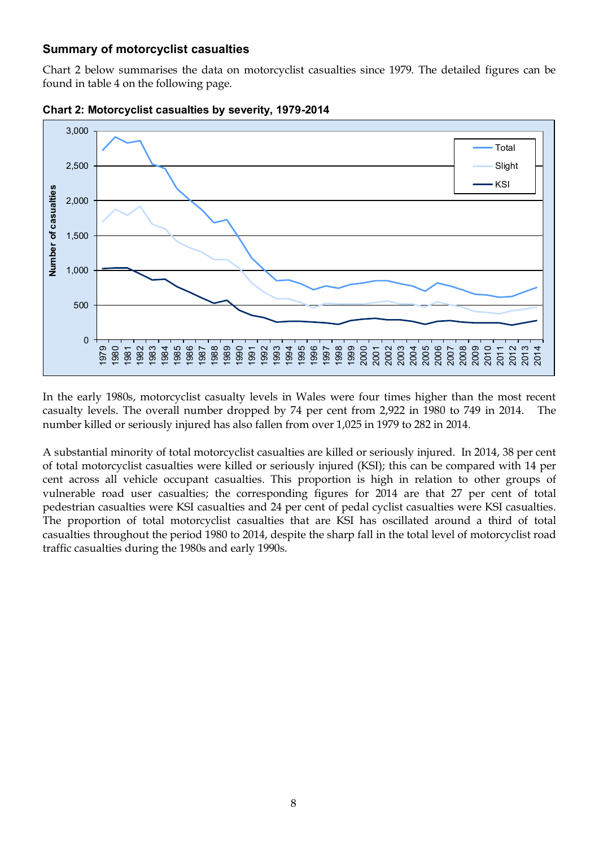## **Summary of motorcyclist casualties**

Chart 2 below summarises the data on motorcyclist casualties since 1979. The detailed figures can be found in table 4 on the following page.





In the early 1980s, motorcyclist casualty levels in Wales were four times higher than the most recent casualty levels. The overall number dropped by 74 per cent from 2,922 in 1980 to 749 in 2014. The number killed or seriously injured has also fallen from over 1,025 in 1979 to 282 in 2014.

A substantial minority of total motorcyclist casualties are killed or seriously injured. In 2014, 38 per cent of total motorcyclist casualties were killed or seriously injured (KSI); this can be compared with 14 per cent across all vehicle occupant casualties. This proportion is high in relation to other groups of vulnerable road user casualties; the corresponding figures for 2014 are that 27 per cent of total pedestrian casualties were KSI casualties and 24 per cent of pedal cyclist casualties were KSI casualties. The proportion of total motorcyclist casualties that are KSI has oscillated around a third of total casualties throughout the period 1980 to 2014, despite the sharp fall in the total level of motorcyclist road traffic casualties during the 1980s and early 1990s.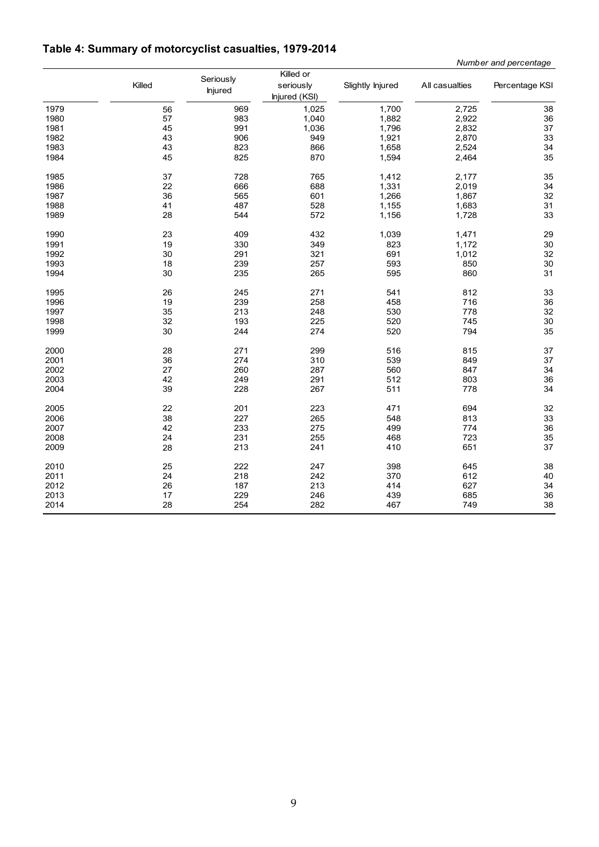# **Table 4: Summary of motorcyclist casualties, 1979-2014**

 *Number and percentage*

|      | Killed | Seriously<br><b>Injured</b> | Killed or<br>seriously<br>Injured (KSI) | Slightly Injured | All casualties | Percentage KSI |
|------|--------|-----------------------------|-----------------------------------------|------------------|----------------|----------------|
| 1979 | 56     | 969                         | 1,025                                   | 1,700            | 2,725          | 38             |
| 1980 | 57     | 983                         | 1,040                                   | 1,882            | 2,922          | 36             |
| 1981 | 45     | 991                         | 1,036                                   | 1,796            | 2,832          | 37             |
| 1982 | 43     | 906                         | 949                                     | 1,921            | 2,870          | 33             |
| 1983 | 43     | 823                         | 866                                     | 1,658            | 2,524          | 34<br>35       |
| 1984 | 45     | 825                         | 870                                     | 1,594            | 2,464          |                |
| 1985 | 37     | 728                         | 765                                     | 1,412            | 2,177          | 35             |
| 1986 | 22     | 666                         | 688                                     | 1,331            | 2,019          | 34<br>32       |
| 1987 | 36     | 565                         | 601                                     | 1,266            | 1,867          |                |
| 1988 | 41     | 487                         | 528                                     | 1,155            | 1,683          | 31             |
| 1989 | 28     | 544                         | 572                                     | 1,156            | 1,728          | 33             |
| 1990 | 23     | 409                         | 432                                     | 1,039            | 1,471          | 29             |
| 1991 | 19     | 330                         | 349                                     | 823              | 1,172          | 30             |
| 1992 | 30     | 291                         | 321                                     | 691              | 1,012          | 32             |
| 1993 | 18     | 239                         | 257                                     | 593              | 850            | 30             |
| 1994 | 30     | 235                         | 265                                     | 595              | 860            | 31             |
| 1995 | 26     | 245                         | 271                                     | 541              | 812            | 33             |
| 1996 | 19     | 239                         | 258                                     | 458              | 716            | 36<br>32       |
| 1997 | 35     | 213                         | 248                                     | 530              | 778            |                |
| 1998 | 32     | 193                         | 225                                     | 520              | 745            | 30<br>35       |
| 1999 | 30     | 244                         | 274                                     | 520              | 794            |                |
| 2000 | 28     | 271                         | 299                                     | 516              | 815            | 37             |
| 2001 | 36     | 274                         | 310                                     | 539              | 849            | 37             |
| 2002 | 27     | 260                         | 287                                     | 560              | 847            | 34             |
| 2003 | 42     | 249                         | 291                                     | 512              | 803            | 36             |
| 2004 | 39     | 228                         | 267                                     | 511              | 778            | 34             |
| 2005 | 22     | 201                         | 223                                     | 471              | 694            | 32             |
| 2006 | 38     | 227                         | 265                                     | 548              | 813            | 33             |
| 2007 | 42     | 233                         | 275                                     | 499              | 774            | 36             |
| 2008 | 24     | 231                         | 255                                     | 468              | 723            | 35             |
| 2009 | 28     | 213                         | 241                                     | 410              | 651            | 37             |
| 2010 | 25     | 222                         | 247                                     | 398              | 645            | 38             |
| 2011 | 24     | 218                         | 242                                     | 370              | 612            | 40             |
| 2012 | 26     | 187                         | 213                                     | 414              | 627            | 34             |
| 2013 | 17     | 229                         | 246                                     | 439              | 685            | 36             |
| 2014 | 28     | 254                         | 282                                     | 467              | 749            | 38             |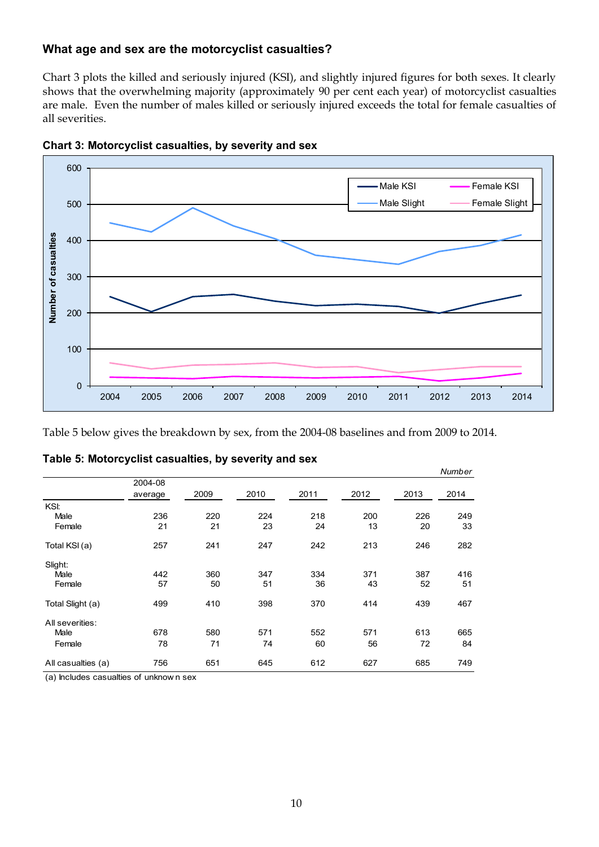## **What age and sex are the motorcyclist casualties?**

Chart 3 plots the killed and seriously injured (KSI), and slightly injured figures for both sexes. It clearly shows that the overwhelming majority (approximately 90 per cent each year) of motorcyclist casualties are male. Even the number of males killed or seriously injured exceeds the total for female casualties of all severities.





Table 5 below gives the breakdown by sex, from the 2004-08 baselines and from 2009 to 2014.

|                    |         |      |      |      |      |      | Number |
|--------------------|---------|------|------|------|------|------|--------|
|                    | 2004-08 |      |      |      |      |      |        |
|                    | average | 2009 | 2010 | 2011 | 2012 | 2013 | 2014   |
| KSI:               |         |      |      |      |      |      |        |
| Male               | 236     | 220  | 224  | 218  | 200  | 226  | 249    |
| Female             | 21      | 21   | 23   | 24   | 13   | 20   | 33     |
| Total KSI (a)      | 257     | 241  | 247  | 242  | 213  | 246  | 282    |
| Slight:            |         |      |      |      |      |      |        |
| Male               | 442     | 360  | 347  | 334  | 371  | 387  | 416    |
| Female             | 57      | 50   | 51   | 36   | 43   | 52   | 51     |
| Total Slight (a)   | 499     | 410  | 398  | 370  | 414  | 439  | 467    |
| All severities:    |         |      |      |      |      |      |        |
| Male               | 678     | 580  | 571  | 552  | 571  | 613  | 665    |
| Female             | 78      | 71   | 74   | 60   | 56   | 72   | 84     |
| All casualties (a) | 756     | 651  | 645  | 612  | 627  | 685  | 749    |

|  | Table 5: Motorcyclist casualties, by severity and sex |  |  |
|--|-------------------------------------------------------|--|--|
|--|-------------------------------------------------------|--|--|

(a) Includes casualties of unknow n sex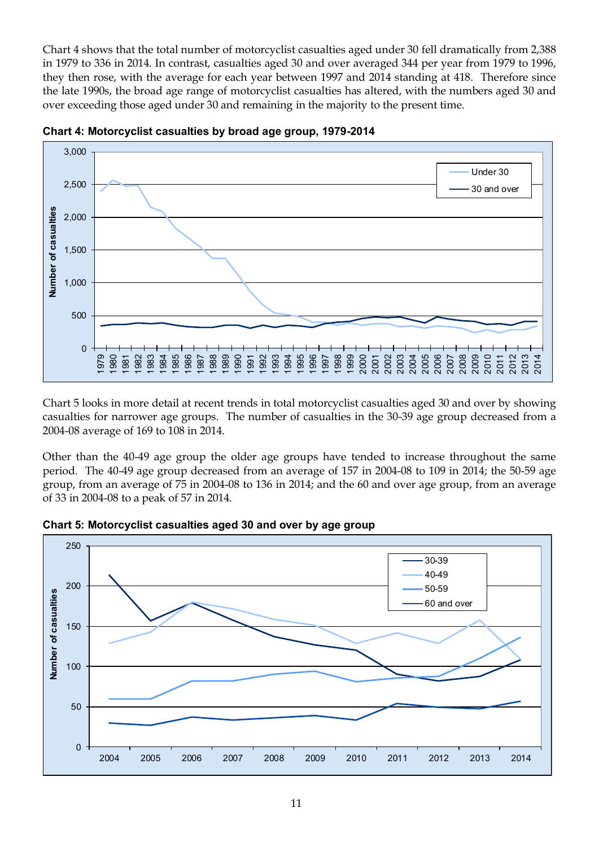Chart 4 shows that the total number of motorcyclist casualties aged under 30 fell dramatically from 2,388 in 1979 to 336 in 2014. In contrast, casualties aged 30 and over averaged 344 per year from 1979 to 1996, they then rose, with the average for each year between 1997 and 2014 standing at 418. Therefore since the late 1990s, the broad age range of motorcyclist casualties has altered, with the numbers aged 30 and over exceeding those aged under 30 and remaining in the majority to the present time.





Chart 5 looks in more detail at recent trends in total motorcyclist casualties aged 30 and over by showing casualties for narrower age groups. The number of casualties in the 30-39 age group decreased from a 2004-08 average of 169 to 108 in 2014.

Other than the 40-49 age group the older age groups have tended to increase throughout the same period. The 40-49 age group decreased from an average of 157 in 2004-08 to 109 in 2014; the 50-59 age group, from an average of 75 in 2004-08 to 136 in 2014; and the 60 and over age group, from an average of 33 in 2004-08 to a peak of 57 in 2014.



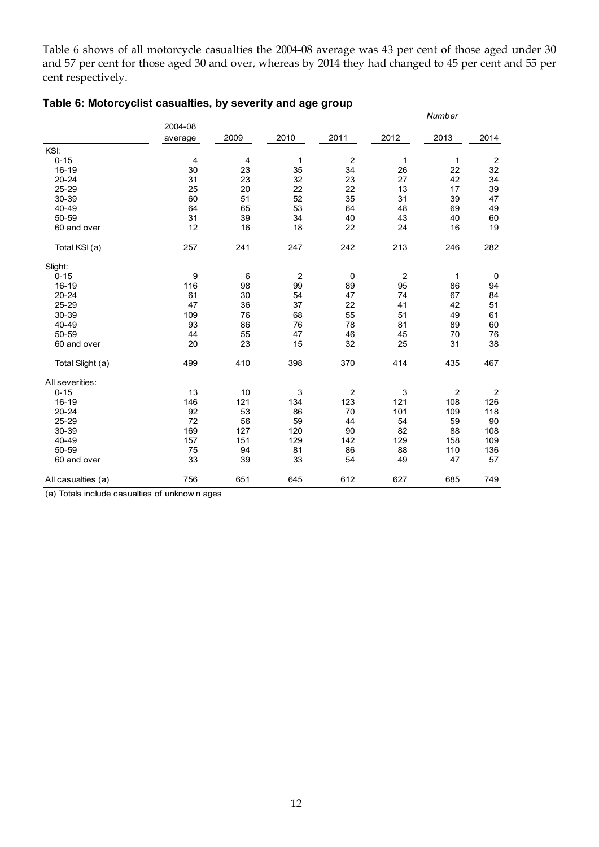Table 6 shows of all motorcycle casualties the 2004-08 average was 43 per cent of those aged under 30 and 57 per cent for those aged 30 and over, whereas by 2014 they had changed to 45 per cent and 55 per cent respectively.

|                    |         |      |                |                |                         | Number         |                |
|--------------------|---------|------|----------------|----------------|-------------------------|----------------|----------------|
|                    | 2004-08 |      |                |                |                         |                |                |
|                    | average | 2009 | 2010           | 2011           | 2012                    | 2013           | 2014           |
| KSI:               |         |      |                |                |                         |                |                |
| $0 - 15$           | 4       | 4    | $\mathbf{1}$   | $\overline{c}$ | 1                       | 1              | $\overline{2}$ |
| $16 - 19$          | 30      | 23   | 35             | 34             | 26                      | 22             | 32             |
| $20 - 24$          | 31      | 23   | 32             | 23             | 27                      | 42             | 34             |
| $25 - 29$          | 25      | 20   | 22             | 22             | 13                      | 17             | 39             |
| 30-39              | 60      | 51   | 52             | 35             | 31                      | 39             | 47             |
| 40-49              | 64      | 65   | 53             | 64             | 48                      | 69             | 49             |
| 50-59              | 31      | 39   | 34             | 40             | 43                      | 40             | 60             |
| 60 and over        | 12      | 16   | 18             | 22             | 24                      | 16             | 19             |
| Total KSI (a)      | 257     | 241  | 247            | 242            | 213                     | 246            | 282            |
| Slight:            |         |      |                |                |                         |                |                |
| $0 - 15$           | 9       | 6    | $\overline{c}$ | 0              | $\overline{\mathbf{c}}$ | 1              | 0              |
| $16 - 19$          | 116     | 98   | 99             | 89             | 95                      | 86             | 94             |
| $20 - 24$          | 61      | 30   | 54             | 47             | 74                      | 67             | 84             |
| 25-29              | 47      | 36   | 37             | 22             | 41                      | 42             | 51             |
| 30-39              | 109     | 76   | 68             | 55             | 51                      | 49             | 61             |
| 40-49              | 93      | 86   | 76             | 78             | 81                      | 89             | 60             |
| 50-59              | 44      | 55   | 47             | 46             | 45                      | 70             | 76             |
| 60 and over        | 20      | 23   | 15             | 32             | 25                      | 31             | 38             |
| Total Slight (a)   | 499     | 410  | 398            | 370            | 414                     | 435            | 467            |
| All severities:    |         |      |                |                |                         |                |                |
| $0 - 15$           | 13      | 10   | 3              | $\overline{c}$ | 3                       | $\overline{c}$ | $\overline{c}$ |
| $16 - 19$          | 146     | 121  | 134            | 123            | 121                     | 108            | 126            |
| $20 - 24$          | 92      | 53   | 86             | 70             | 101                     | 109            | 118            |
| 25-29              | 72      | 56   | 59             | 44             | 54                      | 59             | 90             |
| 30-39              | 169     | 127  | 120            | 90             | 82                      | 88             | 108            |
| 40-49              | 157     | 151  | 129            | 142            | 129                     | 158            | 109            |
| 50-59              | 75      | 94   | 81             | 86             | 88                      | 110            | 136            |
| 60 and over        | 33      | 39   | 33             | 54             | 49                      | 47             | 57             |
| All casualties (a) | 756     | 651  | 645            | 612            | 627                     | 685            | 749            |

### **Table 6: Motorcyclist casualties, by severity and age group**

(a) Totals include casualties of unknow n ages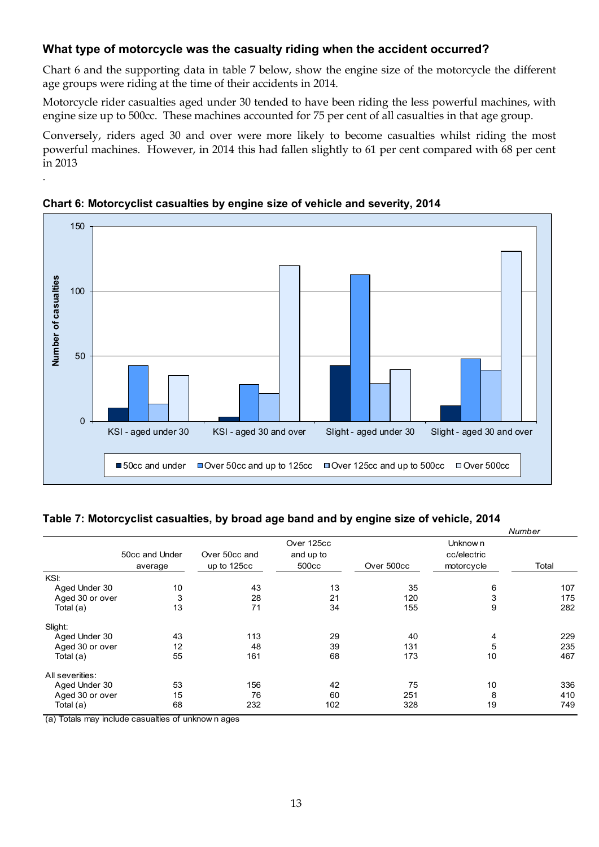## **What type of motorcycle was the casualty riding when the accident occurred?**

Chart 6 and the supporting data in table 7 below, show the engine size of the motorcycle the different age groups were riding at the time of their accidents in 2014.

Motorcycle rider casualties aged under 30 tended to have been riding the less powerful machines, with engine size up to 500cc. These machines accounted for 75 per cent of all casualties in that age group.

Conversely, riders aged 30 and over were more likely to become casualties whilst riding the most powerful machines. However, in 2014 this had fallen slightly to 61 per cent compared with 68 per cent in 2013



#### **Chart 6: Motorcyclist casualties by engine size of vehicle and severity, 2014**

.

## **Table 7: Motorcyclist casualties, by broad age band and by engine size of vehicle, 2014**

|                 |                |               |            |            |             | Number |
|-----------------|----------------|---------------|------------|------------|-------------|--------|
|                 |                |               | Over 125cc |            | Unknow n    |        |
|                 | 50cc and Under | Over 50cc and | and up to  |            | cc/electric |        |
|                 | average        | up to 125cc   | 500cc      | Over 500cc | motorcycle  | Total  |
| KSI:            |                |               |            |            |             |        |
| Aged Under 30   | 10             | 43            | 13         | 35         | 6           | 107    |
| Aged 30 or over | 3              | 28            | 21         | 120        | 3           | 175    |
| Total (a)       | 13             | 71            | 34         | 155        | 9           | 282    |
| Slight:         |                |               |            |            |             |        |
| Aged Under 30   | 43             | 113           | 29         | 40         | 4           | 229    |
| Aged 30 or over | 12             | 48            | 39         | 131        | 5           | 235    |
| Total (a)       | 55             | 161           | 68         | 173        | 10          | 467    |
| All severities: |                |               |            |            |             |        |
| Aged Under 30   | 53             | 156           | 42         | 75         | 10          | 336    |
| Aged 30 or over | 15             | 76            | 60         | 251        | 8           | 410    |
| Total (a)       | 68             | 232           | 102        | 328        | 19          | 749    |

(a) Totals may include casualties of unknow n ages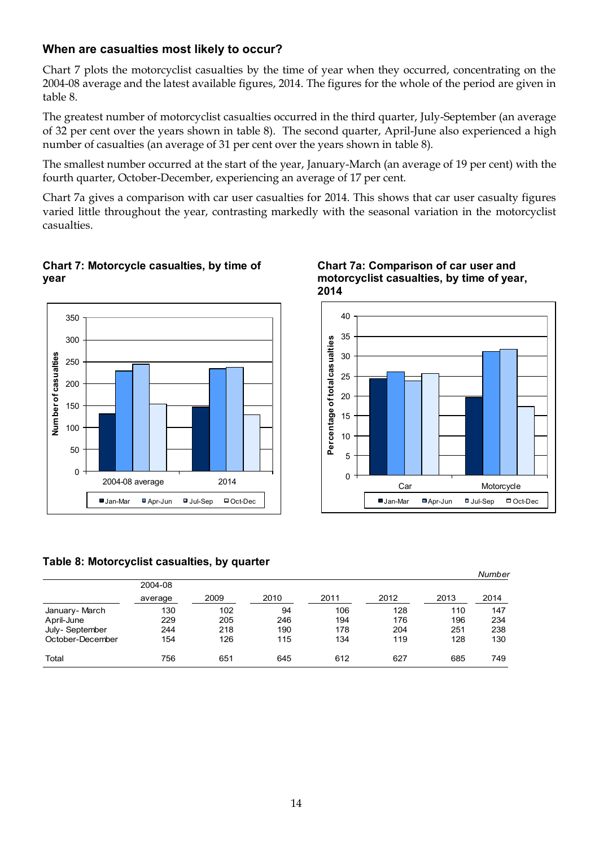## **When are casualties most likely to occur?**

Chart 7 plots the motorcyclist casualties by the time of year when they occurred, concentrating on the 2004-08 average and the latest available figures, 2014. The figures for the whole of the period are given in table 8.

The greatest number of motorcyclist casualties occurred in the third quarter, July-September (an average of 32 per cent over the years shown in table 8). The second quarter, April-June also experienced a high number of casualties (an average of 31 per cent over the years shown in table 8).

The smallest number occurred at the start of the year, January-March (an average of 19 per cent) with the fourth quarter, October-December, experiencing an average of 17 per cent.

Chart 7a gives a comparison with car user casualties for 2014. This shows that car user casualty figures varied little throughout the year, contrasting markedly with the seasonal variation in the motorcyclist casualties.

### **Chart 7: Motorcycle casualties, by time of year**



## **Table 8: Motorcyclist casualties, by quarter**

|                  | 2004-08 |      |      |      |      |      | .    |
|------------------|---------|------|------|------|------|------|------|
|                  | average | 2009 | 2010 | 2011 | 2012 | 2013 | 2014 |
| January-March    | 130     | 102  | 94   | 106  | 128  | 110  | 147  |
| April-June       | 229     | 205  | 246  | 194  | 176  | 196  | 234  |
| July-September   | 244     | 218  | 190  | 178  | 204  | 251  | 238  |
| October-December | 154     | 126  | 115  | 134  | 119  | 128  | 130  |
| Total            | 756     | 651  | 645  | 612  | 627  | 685  | 749  |

#### **Chart 7a: Comparison of car user and motorcyclist casualties, by time of year, 2014**



*Number*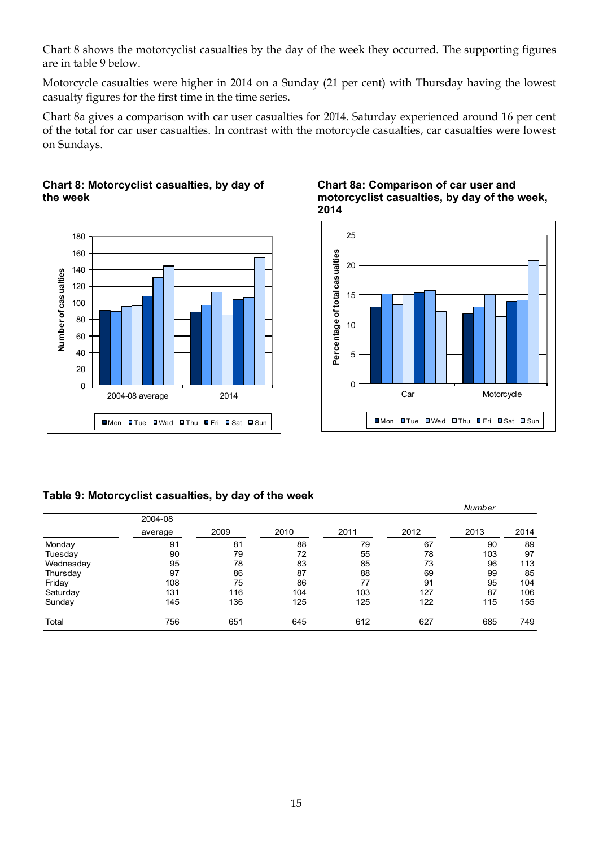Chart 8 shows the motorcyclist casualties by the day of the week they occurred. The supporting figures are in table 9 below.

Motorcycle casualties were higher in 2014 on a Sunday (21 per cent) with Thursday having the lowest casualty figures for the first time in the time series.

Chart 8a gives a comparison with car user casualties for 2014. Saturday experienced around 16 per cent of the total for car user casualties. In contrast with the motorcycle casualties, car casualties were lowest on Sundays.

#### **Chart 8: Motorcyclist casualties, by day of the week**







*Number*

#### **Table 9: Motorcyclist casualties, by day of the week**

|           |         |      |      |      |      | ,,,,,,,,,, |      |
|-----------|---------|------|------|------|------|------------|------|
|           | 2004-08 |      |      |      |      |            |      |
|           | average | 2009 | 2010 | 2011 | 2012 | 2013       | 2014 |
| Monday    | 91      | 81   | 88   | 79   | 67   | 90         | 89   |
| Tuesday   | 90      | 79   | 72   | 55   | 78   | 103        | 97   |
| Wednesday | 95      | 78   | 83   | 85   | 73   | 96         | 113  |
| Thursday  | 97      | 86   | 87   | 88   | 69   | 99         | 85   |
| Friday    | 108     | 75   | 86   | 77   | 91   | 95         | 104  |
| Saturday  | 131     | 116  | 104  | 103  | 127  | 87         | 106  |
| Sunday    | 145     | 136  | 125  | 125  | 122  | 115        | 155  |
| Total     | 756     | 651  | 645  | 612  | 627  | 685        | 749  |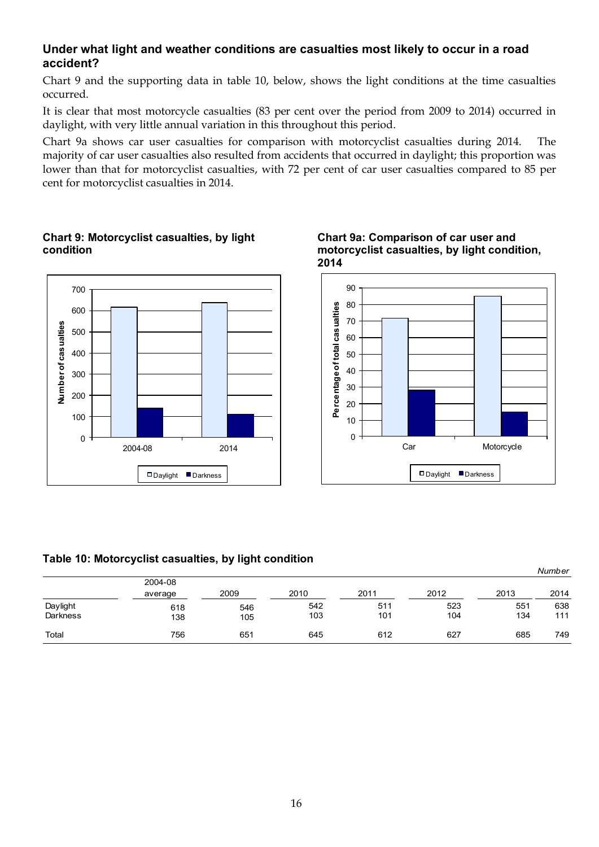## **Under what light and weather conditions are casualties most likely to occur in a road accident?**

Chart 9 and the supporting data in table 10, below, shows the light conditions at the time casualties occurred.

It is clear that most motorcycle casualties (83 per cent over the period from 2009 to 2014) occurred in daylight, with very little annual variation in this throughout this period.

Chart 9a shows car user casualties for comparison with motorcyclist casualties during 2014. The majority of car user casualties also resulted from accidents that occurred in daylight; this proportion was lower than that for motorcyclist casualties, with 72 per cent of car user casualties compared to 85 per cent for motorcyclist casualties in 2014.



### **Chart 9: Motorcyclist casualties, by light condition**





#### **Table 10: Motorcyclist casualties, by light condition**

|          |         |      |      |      |      |      | Number |
|----------|---------|------|------|------|------|------|--------|
|          | 2004-08 |      |      |      |      |      |        |
|          | average | 2009 | 2010 | 2011 | 2012 | 2013 | 2014   |
| Daylight | 618     | 546  | 542  | 511  | 523  | 551  | 638    |
| Darkness | 138     | 105  | 103  | 101  | 104  | 134  | 111    |
| Total    | 756     | 651  | 645  | 612  | 627  | 685  | 749    |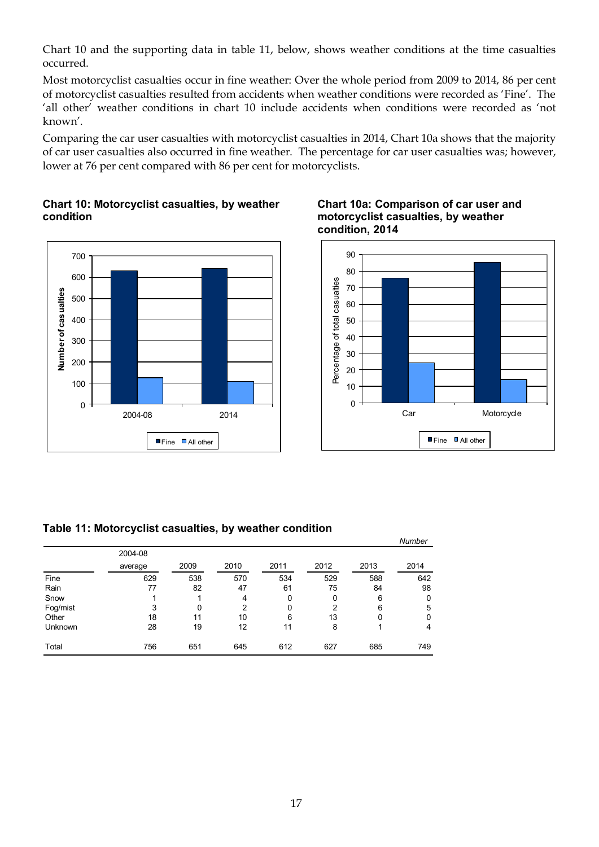Chart 10 and the supporting data in table 11, below, shows weather conditions at the time casualties occurred.

Most motorcyclist casualties occur in fine weather: Over the whole period from 2009 to 2014, 86 per cent of motorcyclist casualties resulted from accidents when weather conditions were recorded as 'Fine'. The 'all other' weather conditions in chart 10 include accidents when conditions were recorded as 'not known'.

Comparing the car user casualties with motorcyclist casualties in 2014, Chart 10a shows that the majority of car user casualties also occurred in fine weather. The percentage for car user casualties was; however, lower at 76 per cent compared with 86 per cent for motorcyclists.

## **Chart 10: Motorcyclist casualties, by weather condition**







#### **Table 11: Motorcyclist casualties, by weather condition**

|                |         |      |      |      |      |      | Number |
|----------------|---------|------|------|------|------|------|--------|
|                | 2004-08 |      |      |      |      |      |        |
|                | average | 2009 | 2010 | 2011 | 2012 | 2013 | 2014   |
| Fine           | 629     | 538  | 570  | 534  | 529  | 588  | 642    |
| Rain           | 77      | 82   | 47   | 61   | 75   | 84   | 98     |
| Snow           |         |      | 4    | 0    | 0    | 6    | 0      |
| Fog/mist       | 3       | 0    | 2    | 0    | 2    | 6    | 5      |
| Other          | 18      | 11   | 10   | 6    | 13   | 0    | 0      |
| <b>Unknown</b> | 28      | 19   | 12   | 11   | 8    |      | 4      |
| Total          | 756     | 651  | 645  | 612  | 627  | 685  | 749    |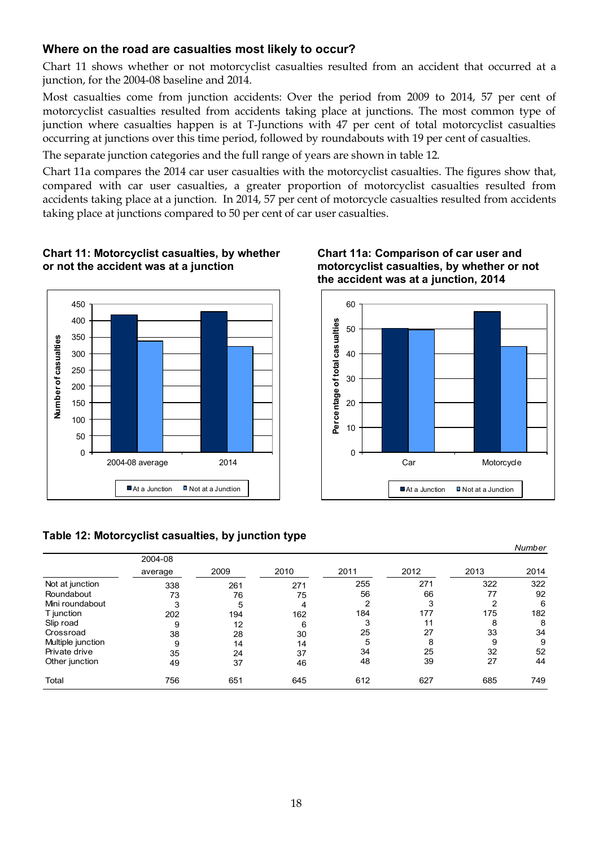## **Where on the road are casualties most likely to occur?**

Chart 11 shows whether or not motorcyclist casualties resulted from an accident that occurred at a junction, for the 2004-08 baseline and 2014.

Most casualties come from junction accidents: Over the period from 2009 to 2014, 57 per cent of motorcyclist casualties resulted from accidents taking place at junctions. The most common type of junction where casualties happen is at T-Junctions with 47 per cent of total motorcyclist casualties occurring at junctions over this time period, followed by roundabouts with 19 per cent of casualties.

The separate junction categories and the full range of years are shown in table 12.

Chart 11a compares the 2014 car user casualties with the motorcyclist casualties. The figures show that, compared with car user casualties, a greater proportion of motorcyclist casualties resulted from accidents taking place at a junction. In 2014, 57 per cent of motorcycle casualties resulted from accidents taking place at junctions compared to 50 per cent of car user casualties.



#### **Chart 11: Motorcyclist casualties, by whether or not the accident was at a junction**





#### **Table 12: Motorcyclist casualties, by junction type**

|                   |         |      |      |      |      |      | Number |
|-------------------|---------|------|------|------|------|------|--------|
|                   | 2004-08 |      |      |      |      |      |        |
|                   | average | 2009 | 2010 | 2011 | 2012 | 2013 | 2014   |
| Not at junction   | 338     | 261  | 271  | 255  | 271  | 322  | 322    |
| Roundabout        | 73      | 76   | 75   | 56   | 66   | 77   | 92     |
| Mini roundabout   | 3       | 5    | 4    | 2    |      | 2    | 6      |
| T junction        | 202     | 194  | 162  | 184  | 177  | 175  | 182    |
| Slip road         | 9       | 12   | 6    | 3    | 11   | 8    | 8      |
| Crossroad         | 38      | 28   | 30   | 25   | 27   | 33   | 34     |
| Multiple junction | 9       | 14   | 14   | 5    | 8    | 9    | 9      |
| Private drive     | 35      | 24   | 37   | 34   | 25   | 32   | 52     |
| Other junction    | 49      | 37   | 46   | 48   | 39   | 27   | 44     |
| Total             | 756     | 651  | 645  | 612  | 627  | 685  | 749    |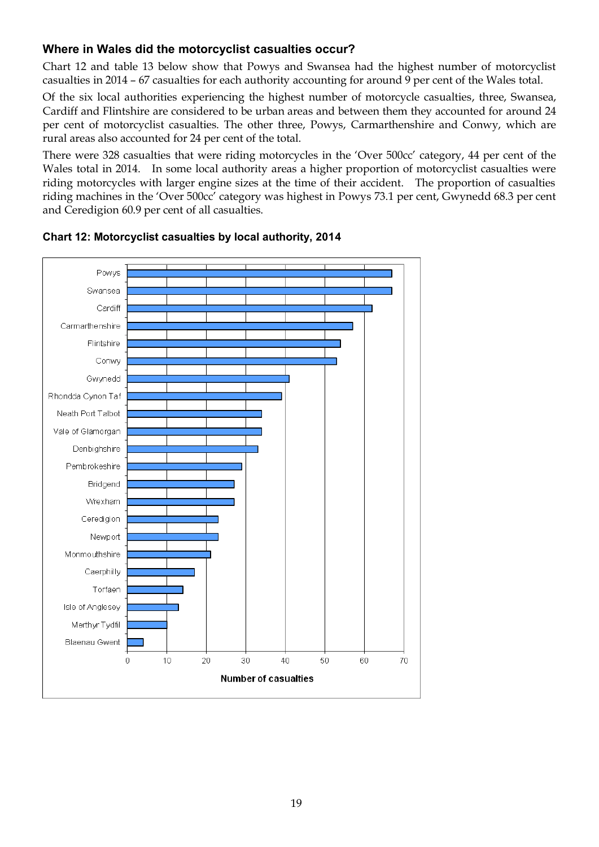# **Where in Wales did the motorcyclist casualties occur?**

Chart 12 and table 13 below show that Powys and Swansea had the highest number of motorcyclist casualties in 2014 – 67 casualties for each authority accounting for around 9 per cent of the Wales total.

Of the six local authorities experiencing the highest number of motorcycle casualties, three, Swansea, Cardiff and Flintshire are considered to be urban areas and between them they accounted for around 24 per cent of motorcyclist casualties. The other three, Powys, Carmarthenshire and Conwy, which are rural areas also accounted for 24 per cent of the total.

There were 328 casualties that were riding motorcycles in the 'Over 500cc' category, 44 per cent of the Wales total in 2014. In some local authority areas a higher proportion of motorcyclist casualties were riding motorcycles with larger engine sizes at the time of their accident. The proportion of casualties riding machines in the 'Over 500cc' category was highest in Powys 73.1 per cent, Gwynedd 68.3 per cent and Ceredigion 60.9 per cent of all casualties.



### **Chart 12: Motorcyclist casualties by local authority, 2014**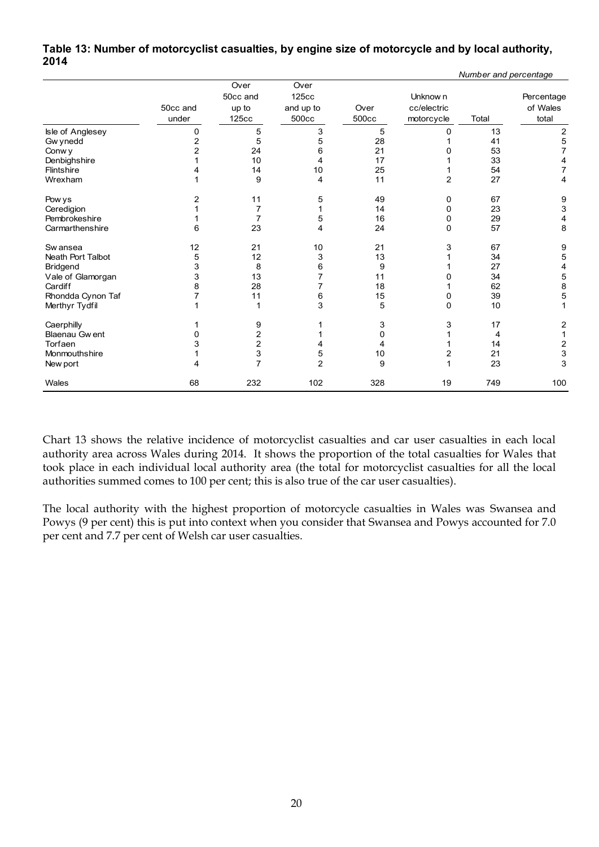#### **Table 13: Number of motorcyclist casualties, by engine size of motorcycle and by local authority, 2014**  *Number and percentage*

|                      |                   |                                    |                                     |               |                                       | Number and percentage |                                 |
|----------------------|-------------------|------------------------------------|-------------------------------------|---------------|---------------------------------------|-----------------------|---------------------------------|
|                      | 50cc and<br>under | Over<br>50cc and<br>up to<br>125cc | Over<br>125cc<br>and up to<br>500cc | Over<br>500cc | Unknow n<br>cc/electric<br>motorcycle | Total                 | Percentage<br>of Wales<br>total |
| Isle of Anglesey     | 0                 | 5                                  | 3                                   | 5             | 0                                     | 13                    | $\overline{2}$                  |
| Gw ynedd             | $\overline{c}$    | 5                                  | 5                                   | 28            |                                       | 41                    | 5                               |
| Conw y               | 2                 | 24                                 | 6                                   | 21            | 0                                     | 53                    | $\overline{7}$                  |
| Denbighshire         |                   | 10                                 | 4                                   | 17            |                                       | 33                    | 4                               |
| Flintshire           |                   | 14                                 | 10                                  | 25            |                                       | 54                    | $\overline{7}$                  |
| Wrexham              |                   | 9                                  | 4                                   | 11            | $\overline{c}$                        | 27                    | 4                               |
| Pow ys               | 2                 | 11                                 | 5                                   | 49            | 0                                     | 67                    | 9                               |
| Ceredigion           |                   | 7                                  |                                     | 14            | 0                                     | 23                    | 3                               |
| Pembrokeshire        |                   | $\overline{7}$                     | 5                                   | 16            | 0                                     | 29                    | 4                               |
| Carmarthenshire      | 6                 | 23                                 | 4                                   | 24            | $\Omega$                              | 57                    | 8                               |
| Sw ansea             | 12                | 21                                 | 10                                  | 21            | 3                                     | 67                    | 9                               |
| Neath Port Talbot    | 5                 | 12                                 | 3                                   | 13            |                                       | 34                    | 5                               |
| Bridgend             | 3                 | 8                                  | 6                                   | 9             |                                       | 27                    | 4                               |
| Vale of Glamorgan    | 3                 | 13                                 |                                     | 11            | 0                                     | 34                    | 5                               |
| Cardiff              | 8                 | 28                                 |                                     | 18            |                                       | 62                    | 8                               |
| Rhondda Cynon Taf    | 7                 | 11                                 | 6                                   | 15            | 0                                     | 39                    | 5                               |
| Merthyr Tydfil       |                   |                                    | 3                                   | 5             | $\mathbf 0$                           | 10                    | 1                               |
| Caerphilly           |                   | 9                                  |                                     | 3             | 3                                     | 17                    | $\boldsymbol{2}$                |
| <b>Blaenau Gwent</b> | 0                 | 2                                  |                                     | $\mathbf 0$   |                                       | 4                     | $\mathbf{1}$                    |
| Torfaen              |                   | 2                                  | 4                                   | 4             |                                       | 14                    |                                 |
| Monmouthshire        |                   | 3                                  | 5                                   | 10            | 2                                     | 21                    | $\frac{2}{3}$                   |
| New port             | Δ                 | $\overline{7}$                     | $\overline{2}$                      | 9             | 1                                     | 23                    | 3                               |
| Wales                | 68                | 232                                | 102                                 | 328           | 19                                    | 749                   | 100                             |

Chart 13 shows the relative incidence of motorcyclist casualties and car user casualties in each local authority area across Wales during 2014. It shows the proportion of the total casualties for Wales that took place in each individual local authority area (the total for motorcyclist casualties for all the local authorities summed comes to 100 per cent; this is also true of the car user casualties).

The local authority with the highest proportion of motorcycle casualties in Wales was Swansea and Powys (9 per cent) this is put into context when you consider that Swansea and Powys accounted for 7.0 per cent and 7.7 per cent of Welsh car user casualties.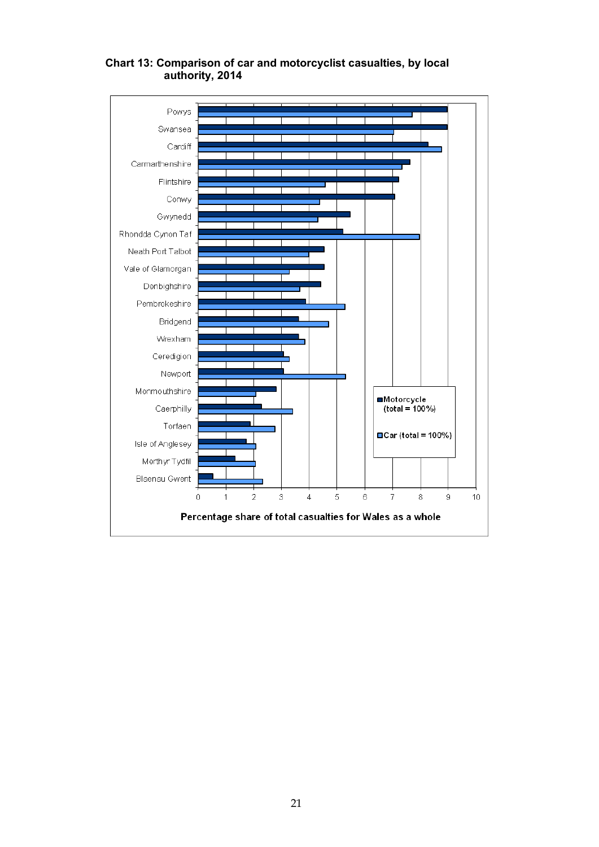

## **Chart 13: Comparison of car and motorcyclist casualties, by local authority, 2014**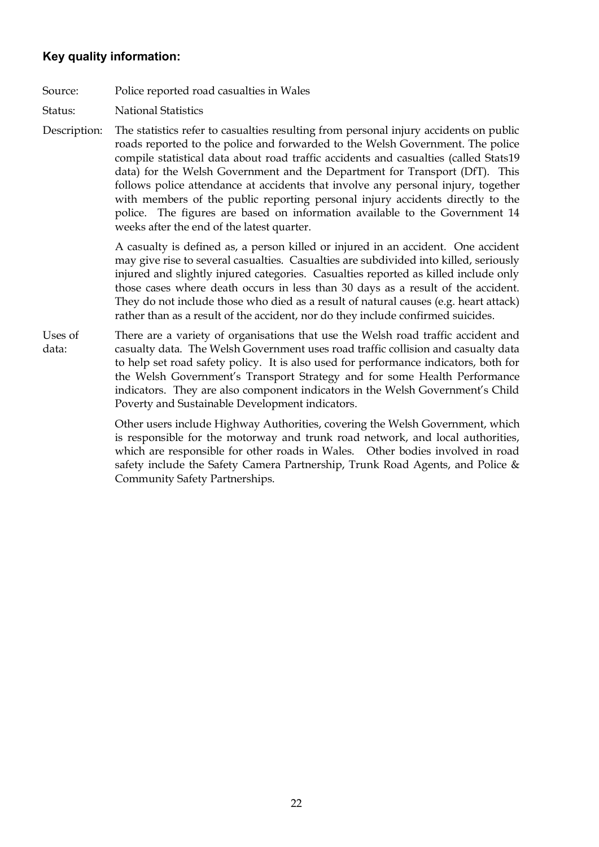## **Key quality information:**

- Source: Police reported road casualties in Wales
- Status: National Statistics
- Description: The statistics refer to casualties resulting from personal injury accidents on public roads reported to the police and forwarded to the Welsh Government. The police compile statistical data about road traffic accidents and casualties (called Stats19 data) for the Welsh Government and the Department for Transport (DfT). This follows police attendance at accidents that involve any personal injury, together with members of the public reporting personal injury accidents directly to the police. The figures are based on information available to the Government 14 weeks after the end of the latest quarter.

A casualty is defined as, a person killed or injured in an accident. One accident may give rise to several casualties. Casualties are subdivided into killed, seriously injured and slightly injured categories. Casualties reported as killed include only those cases where death occurs in less than 30 days as a result of the accident. They do not include those who died as a result of natural causes (e.g. heart attack) rather than as a result of the accident, nor do they include confirmed suicides.

Uses of data: There are a variety of organisations that use the Welsh road traffic accident and casualty data. The Welsh Government uses road traffic collision and casualty data to help set road safety policy. It is also used for performance indicators, both for the Welsh Government's Transport Strategy and for some Health Performance indicators. They are also component indicators in the Welsh Government's Child Poverty and Sustainable Development indicators.

> Other users include Highway Authorities, covering the Welsh Government, which is responsible for the motorway and trunk road network, and local authorities, which are responsible for other roads in Wales. Other bodies involved in road safety include the Safety Camera Partnership, Trunk Road Agents, and Police & Community Safety Partnerships.